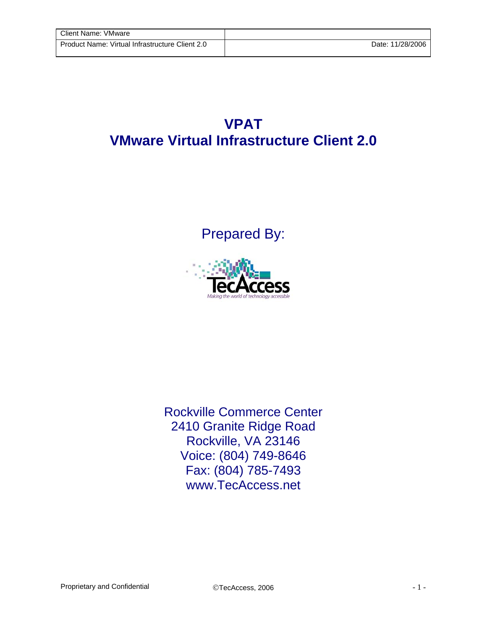## **VPAT VMware Virtual Infrastructure Client 2.0**

Prepared By:



Rockville Commerce Center 2410 Granite Ridge Road Rockville, VA 23146 Voice: (804) 749-8646 Fax: (804) 785-7493 www.TecAccess.net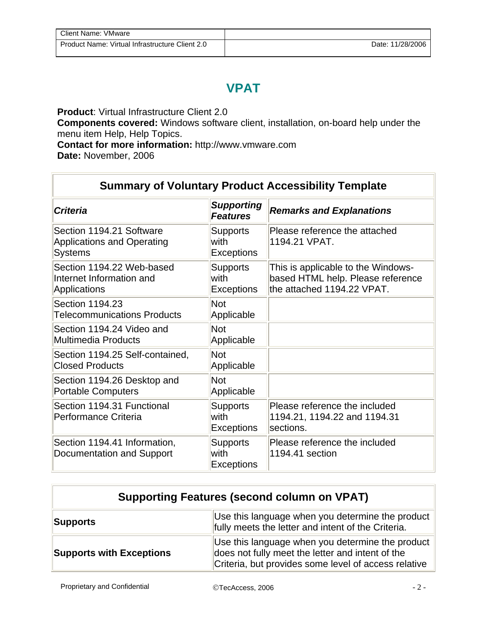## **VPAT**

**Product**: Virtual Infrastructure Client 2.0

**Components covered:** Windows software client, installation, on-board help under the menu item Help, Help Topics.

**Contact for more information:** http://www.vmware.com

**Date:** November, 2006

## **Summary of Voluntary Product Accessibility Template**

| <b>Criteria</b>                                                                 | <b>Supporting</b><br><b>Features</b>         | <b>Remarks and Explanations</b>                                                                       |
|---------------------------------------------------------------------------------|----------------------------------------------|-------------------------------------------------------------------------------------------------------|
| Section 1194.21 Software<br><b>Applications and Operating</b><br><b>Systems</b> | <b>Supports</b><br>with<br><b>Exceptions</b> | Please reference the attached<br>1194.21 VPAT.                                                        |
| Section 1194.22 Web-based<br>Internet Information and<br>Applications           | <b>Supports</b><br>with<br><b>Exceptions</b> | This is applicable to the Windows-<br>based HTML help. Please reference<br>the attached 1194.22 VPAT. |
| Section 1194.23<br><b>Telecommunications Products</b>                           | <b>Not</b><br>Applicable                     |                                                                                                       |
| Section 1194.24 Video and<br>Multimedia Products                                | <b>Not</b><br>Applicable                     |                                                                                                       |
| Section 1194.25 Self-contained,<br><b>Closed Products</b>                       | <b>Not</b><br>Applicable                     |                                                                                                       |
| Section 1194.26 Desktop and<br><b>Portable Computers</b>                        | <b>Not</b><br>Applicable                     |                                                                                                       |
| Section 1194.31 Functional<br>Performance Criteria                              | <b>Supports</b><br>with<br><b>Exceptions</b> | Please reference the included<br>1194.21, 1194.22 and 1194.31<br>sections.                            |
| Section 1194.41 Information,<br>Documentation and Support                       | <b>Supports</b><br>with<br><b>Exceptions</b> | Please reference the included<br>1194.41 section                                                      |

| <b>Supporting Features (second column on VPAT)</b> |                                                                                                                                                              |  |
|----------------------------------------------------|--------------------------------------------------------------------------------------------------------------------------------------------------------------|--|
| Supports                                           | Use this language when you determine the product<br>fully meets the letter and intent of the Criteria.                                                       |  |
| <b>Supports with Exceptions</b>                    | Use this language when you determine the product<br>does not fully meet the letter and intent of the<br>Criteria, but provides some level of access relative |  |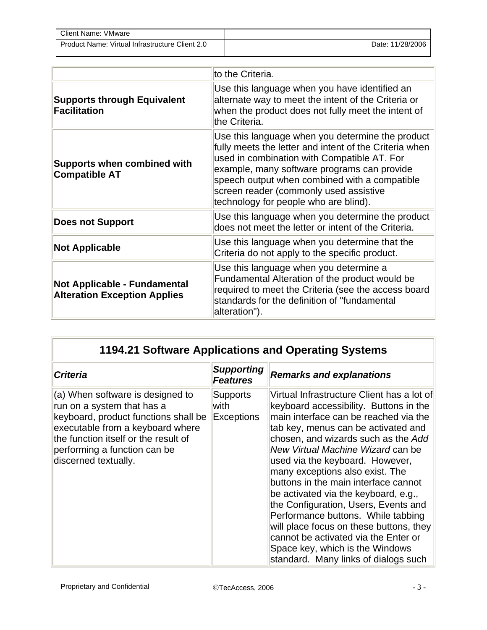| <b>Client Name: VMware</b>                      |                  |
|-------------------------------------------------|------------------|
| Product Name: Virtual Infrastructure Client 2.0 | Date: 11/28/2006 |

|                                                                     | to the Criteria.                                                                                                                                                                                                                                                                                                                             |  |  |
|---------------------------------------------------------------------|----------------------------------------------------------------------------------------------------------------------------------------------------------------------------------------------------------------------------------------------------------------------------------------------------------------------------------------------|--|--|
| <b>Supports through Equivalent</b><br><b>Facilitation</b>           | Use this language when you have identified an<br>alternate way to meet the intent of the Criteria or<br>when the product does not fully meet the intent of<br>the Criteria.                                                                                                                                                                  |  |  |
| <b>Supports when combined with</b><br><b>Compatible AT</b>          | Use this language when you determine the product<br>fully meets the letter and intent of the Criteria when<br>used in combination with Compatible AT. For<br>example, many software programs can provide<br>speech output when combined with a compatible<br>screen reader (commonly used assistive<br>technology for people who are blind). |  |  |
| <b>Does not Support</b>                                             | Use this language when you determine the product<br>does not meet the letter or intent of the Criteria.                                                                                                                                                                                                                                      |  |  |
| <b>Not Applicable</b>                                               | Use this language when you determine that the<br>Criteria do not apply to the specific product.                                                                                                                                                                                                                                              |  |  |
| Not Applicable - Fundamental<br><b>Alteration Exception Applies</b> | Use this language when you determine a<br>Fundamental Alteration of the product would be<br>required to meet the Criteria (see the access board<br>standards for the definition of "fundamental<br>alteration").                                                                                                                             |  |  |

| 1194.21 Software Applications and Operating Systems                                                                                                                                                                                        |                                       |                                                                                                                                                                                                                                                                                                                                                                                                                                                                                                                                                                                                                                                    |  |
|--------------------------------------------------------------------------------------------------------------------------------------------------------------------------------------------------------------------------------------------|---------------------------------------|----------------------------------------------------------------------------------------------------------------------------------------------------------------------------------------------------------------------------------------------------------------------------------------------------------------------------------------------------------------------------------------------------------------------------------------------------------------------------------------------------------------------------------------------------------------------------------------------------------------------------------------------------|--|
| <b>Criteria</b>                                                                                                                                                                                                                            | <b>Supporting</b><br><b>Features</b>  | <b>Remarks and explanations</b>                                                                                                                                                                                                                                                                                                                                                                                                                                                                                                                                                                                                                    |  |
| (a) When software is designed to<br>run on a system that has a<br>keyboard, product functions shall be<br>executable from a keyboard where<br>the function itself or the result of<br>performing a function can be<br>discerned textually. | Supports<br>with<br><b>Exceptions</b> | Virtual Infrastructure Client has a lot of<br>keyboard accessibility. Buttons in the<br>main interface can be reached via the<br>tab key, menus can be activated and<br>chosen, and wizards such as the Add<br>New Virtual Machine Wizard can be<br>used via the keyboard. However,<br>many exceptions also exist. The<br>buttons in the main interface cannot<br>be activated via the keyboard, e.g.,<br>the Configuration, Users, Events and<br>Performance buttons. While tabbing<br>will place focus on these buttons, they<br>cannot be activated via the Enter or<br>Space key, which is the Windows<br>standard. Many links of dialogs such |  |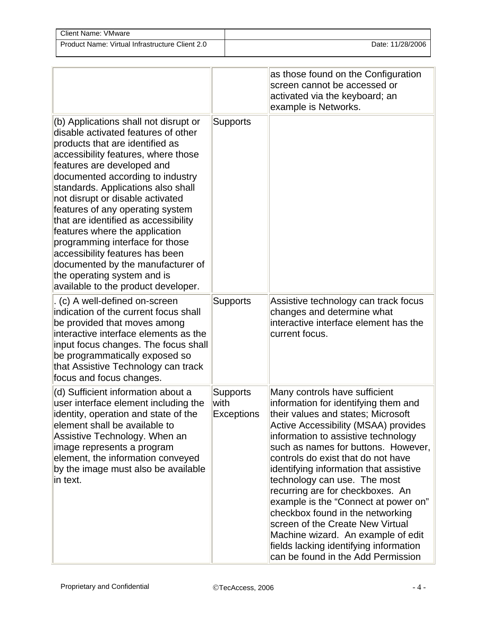| Client Name: VMware                             |                  |
|-------------------------------------------------|------------------|
| Product Name: Virtual Infrastructure Client 2.0 | Date: 11/28/2006 |

|                                                                                                                                                                                                                                                                                                                                                                                                                                                                                                                                                                                                   |                                              | as those found on the Configuration<br>screen cannot be accessed or<br>activated via the keyboard; an<br>example is Networks.                                                                                                                                                                                                                                                                                                                                                                                                                                                                                               |
|---------------------------------------------------------------------------------------------------------------------------------------------------------------------------------------------------------------------------------------------------------------------------------------------------------------------------------------------------------------------------------------------------------------------------------------------------------------------------------------------------------------------------------------------------------------------------------------------------|----------------------------------------------|-----------------------------------------------------------------------------------------------------------------------------------------------------------------------------------------------------------------------------------------------------------------------------------------------------------------------------------------------------------------------------------------------------------------------------------------------------------------------------------------------------------------------------------------------------------------------------------------------------------------------------|
| (b) Applications shall not disrupt or<br>disable activated features of other<br>products that are identified as<br>accessibility features, where those<br>features are developed and<br>documented according to industry<br>standards. Applications also shall<br>not disrupt or disable activated<br>features of any operating system<br>that are identified as accessibility<br>features where the application<br>programming interface for those<br>accessibility features has been<br>documented by the manufacturer of<br>the operating system and is<br>available to the product developer. | <b>Supports</b>                              |                                                                                                                                                                                                                                                                                                                                                                                                                                                                                                                                                                                                                             |
| . (c) A well-defined on-screen<br>indication of the current focus shall<br>be provided that moves among<br>interactive interface elements as the<br>input focus changes. The focus shall<br>be programmatically exposed so<br>that Assistive Technology can track<br>focus and focus changes.                                                                                                                                                                                                                                                                                                     | <b>Supports</b>                              | Assistive technology can track focus<br>changes and determine what<br>interactive interface element has the<br>current focus.                                                                                                                                                                                                                                                                                                                                                                                                                                                                                               |
| (d) Sufficient information about a<br>user interface element including the<br>identity, operation and state of the<br>element shall be available to<br>Assistive Technology. When an<br>image represents a program<br>element, the information conveyed<br>by the image must also be available<br>in text.                                                                                                                                                                                                                                                                                        | <b>Supports</b><br>with<br><b>Exceptions</b> | Many controls have sufficient<br>information for identifying them and<br>their values and states; Microsoft<br>Active Accessibility (MSAA) provides<br>information to assistive technology<br>such as names for buttons. However,<br>controls do exist that do not have<br>identifying information that assistive<br>technology can use. The most<br>recurring are for checkboxes. An<br>example is the "Connect at power on"<br>checkbox found in the networking<br>screen of the Create New Virtual<br>Machine wizard. An example of edit<br>fields lacking identifying information<br>can be found in the Add Permission |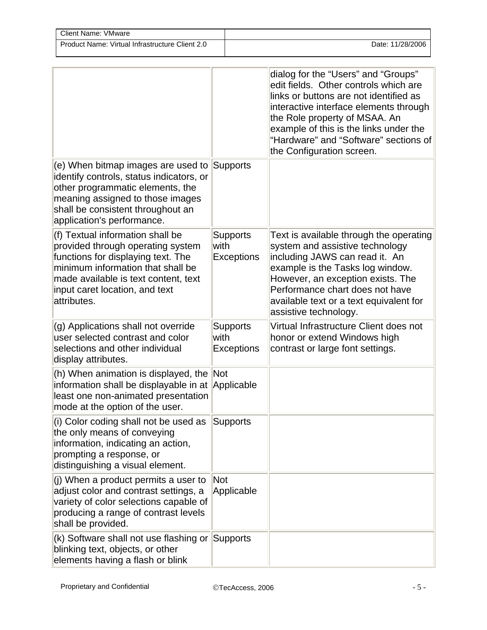| Client Name: VMware                             |                  |
|-------------------------------------------------|------------------|
| Product Name: Virtual Infrastructure Client 2.0 | Date: 11/28/2006 |

|                                                                                                                                                                                                                                           |                                              | dialog for the "Users" and "Groups"<br>edit fields. Other controls which are<br>links or buttons are not identified as<br>interactive interface elements through<br>the Role property of MSAA. An<br>example of this is the links under the<br>"Hardware" and "Software" sections of<br>the Configuration screen. |
|-------------------------------------------------------------------------------------------------------------------------------------------------------------------------------------------------------------------------------------------|----------------------------------------------|-------------------------------------------------------------------------------------------------------------------------------------------------------------------------------------------------------------------------------------------------------------------------------------------------------------------|
| (e) When bitmap images are used to Supports<br>identify controls, status indicators, or<br>other programmatic elements, the<br>meaning assigned to those images<br>shall be consistent throughout an<br>application's performance.        |                                              |                                                                                                                                                                                                                                                                                                                   |
| (f) Textual information shall be<br>provided through operating system<br>functions for displaying text. The<br>minimum information that shall be<br>made available is text content, text<br>input caret location, and text<br>attributes. | <b>Supports</b><br>with<br><b>Exceptions</b> | Text is available through the operating<br>system and assistive technology<br>including JAWS can read it. An<br>example is the Tasks log window.<br>However, an exception exists. The<br>Performance chart does not have<br>available text or a text equivalent for<br>assistive technology.                      |
| (g) Applications shall not override<br>user selected contrast and color<br>selections and other individual<br>display attributes.                                                                                                         | Supports<br>with<br><b>Exceptions</b>        | Virtual Infrastructure Client does not<br>honor or extend Windows high<br>contrast or large font settings.                                                                                                                                                                                                        |
| (h) When animation is displayed, the Not<br>information shall be displayable in at Applicable<br>least one non-animated presentation<br>mode at the option of the user.                                                                   |                                              |                                                                                                                                                                                                                                                                                                                   |
| (i) Color coding shall not be used as<br>the only means of conveying<br>information, indicating an action,<br>prompting a response, or<br>distinguishing a visual element.                                                                | Supports                                     |                                                                                                                                                                                                                                                                                                                   |
| (i) When a product permits a user to<br>adjust color and contrast settings, a<br>variety of color selections capable of<br>producing a range of contrast levels<br>shall be provided.                                                     | Not<br>Applicable                            |                                                                                                                                                                                                                                                                                                                   |
| $(k)$ Software shall not use flashing or Supports<br>blinking text, objects, or other<br>elements having a flash or blink                                                                                                                 |                                              |                                                                                                                                                                                                                                                                                                                   |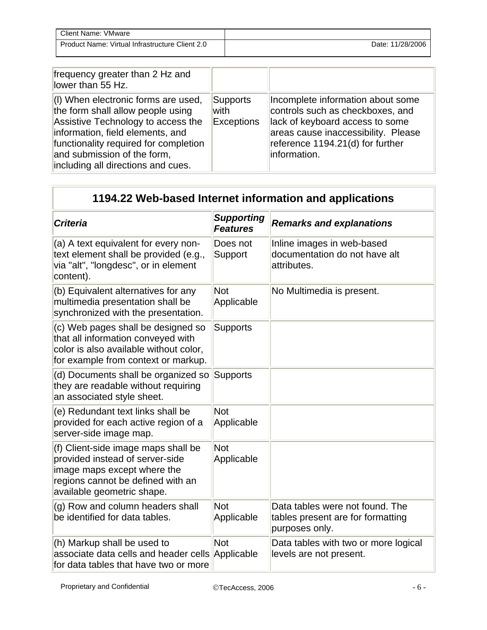| Client Name: '<br>VMware                        |                  |
|-------------------------------------------------|------------------|
| Product Name: Virtual Infrastructure Client 2.0 | Date: 11/28/2006 |

| frequency greater than 2 Hz and<br>lower than 55 Hz.                                                                                                                                                                                                             |                                |                                                                                                                                                                                                     |
|------------------------------------------------------------------------------------------------------------------------------------------------------------------------------------------------------------------------------------------------------------------|--------------------------------|-----------------------------------------------------------------------------------------------------------------------------------------------------------------------------------------------------|
| (I) When electronic forms are used,<br>the form shall allow people using<br>Assistive Technology to access the<br>information, field elements, and<br>functionality required for completion<br>and submission of the form,<br>including all directions and cues. | Supports<br>with<br>Exceptions | Incomplete information about some<br>controls such as checkboxes, and<br>lack of keyboard access to some<br>areas cause inaccessibility. Please<br>reference 1194.21(d) for further<br>information. |

## **1194.22 Web-based Internet information and applications**

| <b>Criteria</b>                                                                                                                                                          | <b>Supporting</b><br><b>Features</b> | <b>Remarks and explanations</b>                                                        |
|--------------------------------------------------------------------------------------------------------------------------------------------------------------------------|--------------------------------------|----------------------------------------------------------------------------------------|
| (a) A text equivalent for every non-<br>text element shall be provided (e.g.,<br>via "alt", "longdesc", or in element<br>content).                                       | Does not<br>Support                  | Inline images in web-based<br>documentation do not have alt<br>attributes.             |
| (b) Equivalent alternatives for any<br>multimedia presentation shall be<br>synchronized with the presentation.                                                           | <b>Not</b><br>Applicable             | No Multimedia is present.                                                              |
| (c) Web pages shall be designed so<br>that all information conveyed with<br>color is also available without color,<br>for example from context or markup.                | <b>Supports</b>                      |                                                                                        |
| (d) Documents shall be organized so<br>they are readable without requiring<br>an associated style sheet.                                                                 | <b>Supports</b>                      |                                                                                        |
| (e) Redundant text links shall be<br>provided for each active region of a<br>server-side image map.                                                                      | <b>Not</b><br>Applicable             |                                                                                        |
| (f) Client-side image maps shall be<br>provided instead of server-side<br>image maps except where the<br>regions cannot be defined with an<br>available geometric shape. | <b>Not</b><br>Applicable             |                                                                                        |
| (g) Row and column headers shall<br>be identified for data tables.                                                                                                       | <b>Not</b><br>Applicable             | Data tables were not found. The<br>tables present are for formatting<br>purposes only. |
| (h) Markup shall be used to<br>associate data cells and header cells<br>for data tables that have two or more                                                            | Not<br>Applicable                    | Data tables with two or more logical<br>levels are not present.                        |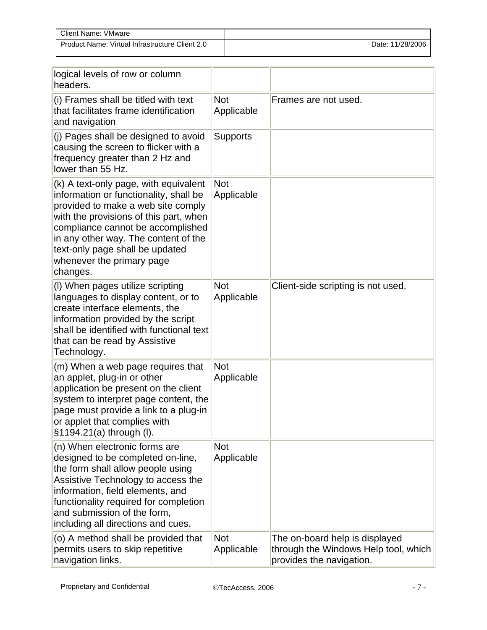| Client Name: VMware                             |                  |
|-------------------------------------------------|------------------|
| Product Name: Virtual Infrastructure Client 2.0 | Date: 11/28/2006 |

| logical levels of row or column<br>headers.                                                                                                                                                                                                                                                                              |                          |                                                                                                    |
|--------------------------------------------------------------------------------------------------------------------------------------------------------------------------------------------------------------------------------------------------------------------------------------------------------------------------|--------------------------|----------------------------------------------------------------------------------------------------|
| (i) Frames shall be titled with text<br>that facilitates frame identification<br>and navigation                                                                                                                                                                                                                          | <b>Not</b><br>Applicable | Frames are not used.                                                                               |
| (j) Pages shall be designed to avoid<br>causing the screen to flicker with a<br>frequency greater than 2 Hz and<br>lower than 55 Hz.                                                                                                                                                                                     | <b>Supports</b>          |                                                                                                    |
| (k) A text-only page, with equivalent<br>information or functionality, shall be<br>provided to make a web site comply<br>with the provisions of this part, when<br>compliance cannot be accomplished<br>in any other way. The content of the<br>text-only page shall be updated<br>whenever the primary page<br>changes. | Not<br>Applicable        |                                                                                                    |
| (I) When pages utilize scripting<br>languages to display content, or to<br>create interface elements, the<br>information provided by the script<br>shall be identified with functional text<br>that can be read by Assistive<br>Technology.                                                                              | <b>Not</b><br>Applicable | Client-side scripting is not used.                                                                 |
| (m) When a web page requires that<br>an applet, plug-in or other<br>application be present on the client<br>system to interpret page content, the<br>page must provide a link to a plug-in<br>or applet that complies with<br>§1194.21(a) through (I).                                                                   | <b>Not</b><br>Applicable |                                                                                                    |
| (n) When electronic forms are<br>designed to be completed on-line,<br>the form shall allow people using<br>Assistive Technology to access the<br>information, field elements, and<br>functionality required for completion<br>and submission of the form,<br>including all directions and cues.                          | <b>Not</b><br>Applicable |                                                                                                    |
| (o) A method shall be provided that<br>permits users to skip repetitive<br>navigation links.                                                                                                                                                                                                                             | <b>Not</b><br>Applicable | The on-board help is displayed<br>through the Windows Help tool, which<br>provides the navigation. |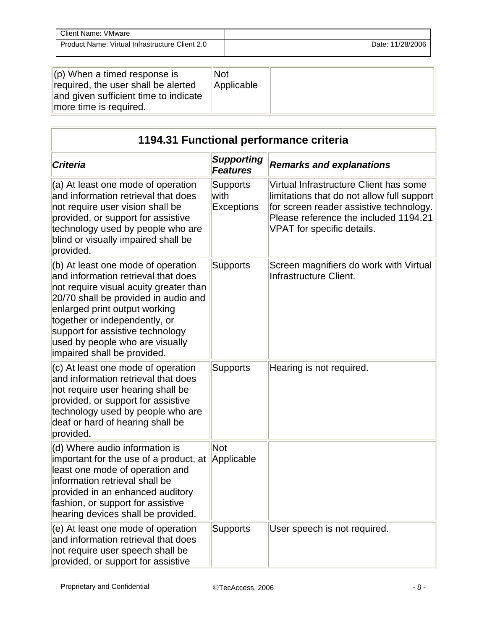| Client Name: VMware                             |                  |
|-------------------------------------------------|------------------|
| Product Name: Virtual Infrastructure Client 2.0 | Date: 11/28/2006 |

| $\parallel$ (p) When a timed response is<br>required, the user shall be alerted<br>and given sufficient time to indicate<br>more time is required. | Not<br>Applicable |  |
|----------------------------------------------------------------------------------------------------------------------------------------------------|-------------------|--|
|----------------------------------------------------------------------------------------------------------------------------------------------------|-------------------|--|

| 1194.31 Functional performance criteria                                                                                                                                                                                                                                                                                             |                                       |                                                                                                                                                                                                        |
|-------------------------------------------------------------------------------------------------------------------------------------------------------------------------------------------------------------------------------------------------------------------------------------------------------------------------------------|---------------------------------------|--------------------------------------------------------------------------------------------------------------------------------------------------------------------------------------------------------|
| <b>Criteria</b>                                                                                                                                                                                                                                                                                                                     | <b>Supporting</b><br><b>Features</b>  | <b>Remarks and explanations</b>                                                                                                                                                                        |
| (a) At least one mode of operation<br>and information retrieval that does<br>not require user vision shall be<br>provided, or support for assistive<br>technology used by people who are<br>blind or visually impaired shall be<br>provided.                                                                                        | Supports<br>with<br><b>Exceptions</b> | Virtual Infrastructure Client has some<br>limitations that do not allow full support<br>for screen reader assistive technology.<br>Please reference the included 1194.21<br>VPAT for specific details. |
| (b) At least one mode of operation<br>and information retrieval that does<br>not require visual acuity greater than<br>20/70 shall be provided in audio and<br>enlarged print output working<br>together or independently, or<br>support for assistive technology<br>used by people who are visually<br>impaired shall be provided. | <b>Supports</b>                       | Screen magnifiers do work with Virtual<br>Infrastructure Client.                                                                                                                                       |
| (c) At least one mode of operation<br>and information retrieval that does<br>not require user hearing shall be<br>provided, or support for assistive<br>technology used by people who are<br>deaf or hard of hearing shall be<br>provided.                                                                                          | <b>Supports</b>                       | Hearing is not required.                                                                                                                                                                               |
| (d) Where audio information is<br>important for the use of a product, at<br>least one mode of operation and<br>information retrieval shall be<br>provided in an enhanced auditory<br>fashion, or support for assistive<br>hearing devices shall be provided.                                                                        | <b>Not</b><br>Applicable              |                                                                                                                                                                                                        |
| (e) At least one mode of operation<br>and information retrieval that does<br>not require user speech shall be<br>provided, or support for assistive                                                                                                                                                                                 | <b>Supports</b>                       | User speech is not required.                                                                                                                                                                           |

i.

÷.